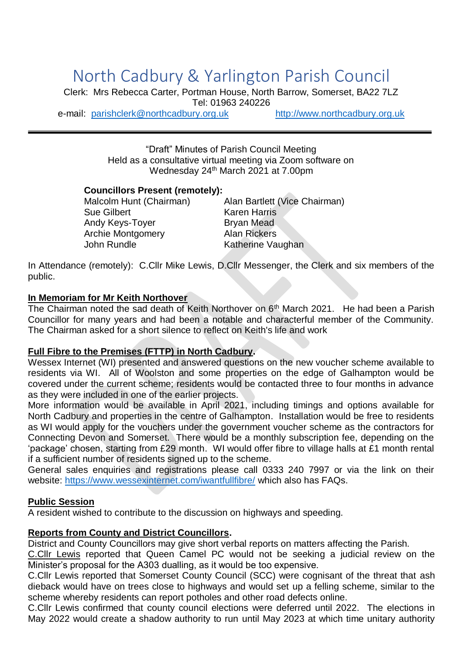# North Cadbury & Yarlington Parish Council

Clerk: Mrs Rebecca Carter, Portman House, North Barrow, Somerset, BA22 7LZ Tel: 01963 240226

e-mail: [parishclerk@northcadbury.org.uk](mailto:parishclerk@northcadbury.org.uk) [http://www.northcadbury.org.uk](http://www.northcadbury.org.uk/)

"Draft" Minutes of Parish Council Meeting Held as a consultative virtual meeting via Zoom software on Wednesday 24<sup>th</sup> March 2021 at 7.00pm

#### **Councillors Present (remotely):**

Sue Gilbert Karen Harris Andy Keys-Toyer Bryan Mead Archie Montgomery Alan Rickers John Rundle Katherine Vaughan

Malcolm Hunt (Chairman) Alan Bartlett (Vice Chairman)

In Attendance (remotely): C.Cllr Mike Lewis, D.Cllr Messenger, the Clerk and six members of the public.

#### **In Memoriam for Mr Keith Northover**

The Chairman noted the sad death of Keith Northover on  $6<sup>th</sup>$  March 2021. He had been a Parish Councillor for many years and had been a notable and characterful member of the Community. The Chairman asked for a short silence to reflect on Keith's life and work

#### **Full Fibre to the Premises (FTTP) in North Cadbury.**

Wessex Internet (WI) presented and answered questions on the new voucher scheme available to residents via WI. All of Woolston and some properties on the edge of Galhampton would be covered under the current scheme; residents would be contacted three to four months in advance as they were included in one of the earlier projects.

More information would be available in April 2021, including timings and options available for North Cadbury and properties in the centre of Galhampton. Installation would be free to residents as WI would apply for the vouchers under the government voucher scheme as the contractors for Connecting Devon and Somerset. There would be a monthly subscription fee, depending on the 'package' chosen, starting from £29 month. WI would offer fibre to village halls at £1 month rental if a sufficient number of residents signed up to the scheme.

General sales enquiries and registrations please call 0333 240 7997 or via the link on their website:<https://www.wessexinternet.com/iwantfullfibre/> which also has FAQs.

#### **Public Session**

A resident wished to contribute to the discussion on highways and speeding.

#### **Reports from County and District Councillors.**

District and County Councillors may give short verbal reports on matters affecting the Parish.

C.Cllr Lewis reported that Queen Camel PC would not be seeking a judicial review on the Minister's proposal for the A303 dualling, as it would be too expensive.

C.Cllr Lewis reported that Somerset County Council (SCC) were cognisant of the threat that ash dieback would have on trees close to highways and would set up a felling scheme, similar to the scheme whereby residents can report potholes and other road defects online.

C.Cllr Lewis confirmed that county council elections were deferred until 2022. The elections in May 2022 would create a shadow authority to run until May 2023 at which time unitary authority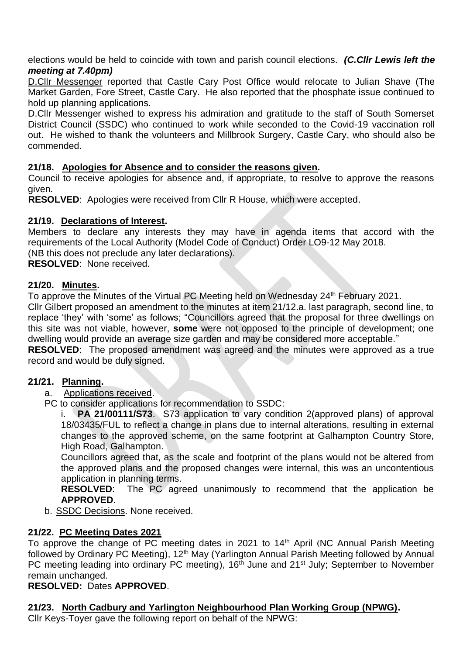elections would be held to coincide with town and parish council elections. *(C.Cllr Lewis left the meeting at 7.40pm)*

D.Cllr Messenger reported that Castle Cary Post Office would relocate to Julian Shave (The Market Garden, Fore Street, Castle Cary. He also reported that the phosphate issue continued to hold up planning applications.

D.Cllr Messenger wished to express his admiration and gratitude to the staff of South Somerset District Council (SSDC) who continued to work while seconded to the Covid-19 vaccination roll out. He wished to thank the volunteers and Millbrook Surgery, Castle Cary, who should also be commended.

# **21/18. Apologies for Absence and to consider the reasons given.**

Council to receive apologies for absence and, if appropriate, to resolve to approve the reasons given.

**RESOLVED**: Apologies were received from Cllr R House, which were accepted.

# **21/19. Declarations of Interest.**

Members to declare any interests they may have in agenda items that accord with the requirements of the Local Authority (Model Code of Conduct) Order LO9-12 May 2018.

(NB this does not preclude any later declarations).

**RESOLVED**: None received.

# **21/20. Minutes.**

To approve the Minutes of the Virtual PC Meeting held on Wednesday 24<sup>th</sup> February 2021.

Cllr Gilbert proposed an amendment to the minutes at item 21/12.a. last paragraph, second line, to replace 'they' with 'some' as follows; "Councillors agreed that the proposal for three dwellings on this site was not viable, however, **some** were not opposed to the principle of development; one dwelling would provide an average size garden and may be considered more acceptable."

**RESOLVED**: The proposed amendment was agreed and the minutes were approved as a true record and would be duly signed.

# **21/21. Planning.**

- a. Applications received.
- PC to consider applications for recommendation to SSDC:

**PA 21/00111/S73.** S73 application to vary condition 2(approved plans) of approval 18/03435/FUL to reflect a change in plans due to internal alterations, resulting in external changes to the approved scheme, on the same footprint at Galhampton Country Store, High Road, Galhampton.

Councillors agreed that, as the scale and footprint of the plans would not be altered from the approved plans and the proposed changes were internal, this was an uncontentious application in planning terms.

**RESOLVED:** The PC agreed unanimously to recommend that the application be **APPROVED**.

b. SSDC Decisions. None received.

# **21/22. PC Meeting Dates 2021**

To approve the change of PC meeting dates in 2021 to 14<sup>th</sup> April (NC Annual Parish Meeting followed by Ordinary PC Meeting), 12<sup>th</sup> May (Yarlington Annual Parish Meeting followed by Annual PC meeting leading into ordinary PC meeting), 16<sup>th</sup> June and 21<sup>st</sup> July; September to November remain unchanged.

# **RESOLVED:** Dates **APPROVED**.

# **21/23. North Cadbury and Yarlington Neighbourhood Plan Working Group (NPWG).**

Cllr Keys-Toyer gave the following report on behalf of the NPWG: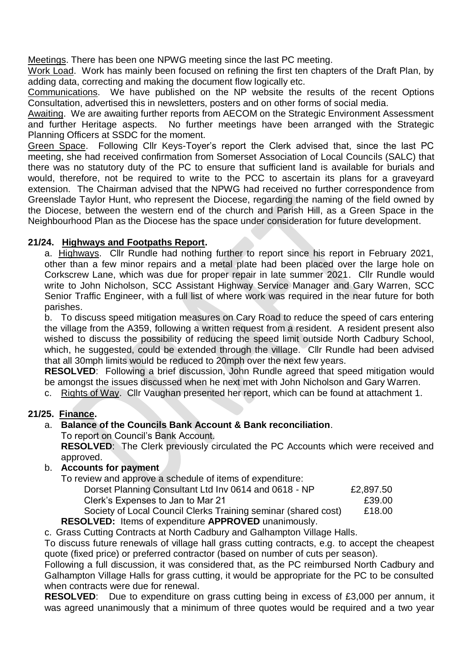Meetings. There has been one NPWG meeting since the last PC meeting.

Work Load. Work has mainly been focused on refining the first ten chapters of the Draft Plan, by adding data, correcting and making the document flow logically etc.

Communications. We have published on the NP website the results of the recent Options Consultation, advertised this in newsletters, posters and on other forms of social media.

Awaiting. We are awaiting further reports from AECOM on the Strategic Environment Assessment and further Heritage aspects. No further meetings have been arranged with the Strategic Planning Officers at SSDC for the moment.

Green Space. Following Cllr Keys-Toyer's report the Clerk advised that, since the last PC meeting, she had received confirmation from Somerset Association of Local Councils (SALC) that there was no statutory duty of the PC to ensure that sufficient land is available for burials and would, therefore, not be required to write to the PCC to ascertain its plans for a graveyard extension. The Chairman advised that the NPWG had received no further correspondence from Greenslade Taylor Hunt, who represent the Diocese, regarding the naming of the field owned by the Diocese, between the western end of the church and Parish Hill, as a Green Space in the Neighbourhood Plan as the Diocese has the space under consideration for future development.

# **21/24. Highways and Footpaths Report.**

a. Highways. Cllr Rundle had nothing further to report since his report in February 2021, other than a few minor repairs and a metal plate had been placed over the large hole on Corkscrew Lane, which was due for proper repair in late summer 2021. Cllr Rundle would write to John Nicholson, SCC Assistant Highway Service Manager and Gary Warren, SCC Senior Traffic Engineer, with a full list of where work was required in the near future for both parishes.

b. To discuss speed mitigation measures on Cary Road to reduce the speed of cars entering the village from the A359, following a written request from a resident. A resident present also wished to discuss the possibility of reducing the speed limit outside North Cadbury School, which, he suggested, could be extended through the village. Cllr Rundle had been advised that all 30mph limits would be reduced to 20mph over the next few years.

**RESOLVED**: Following a brief discussion, John Rundle agreed that speed mitigation would be amongst the issues discussed when he next met with John Nicholson and Gary Warren.

c. Rights of Way. Cllr Vaughan presented her report, which can be found at attachment 1.

# **21/25. Finance.**

# a. **Balance of the Councils Bank Account & Bank reconciliation**.

To report on Council's Bank Account.

**RESOLVED**: The Clerk previously circulated the PC Accounts which were received and approved.

#### b. **Accounts for payment**

To review and approve a schedule of items of expenditure:

| Dorset Planning Consultant Ltd Inv 0614 and 0618 - NP              | £2,897.50 |
|--------------------------------------------------------------------|-----------|
| Clerk's Expenses to Jan to Mar 21                                  | £39.00    |
| Society of Local Council Clerks Training seminar (shared cost)     | £18.00    |
| <b>RESOLVED:</b> Items of expenditure <b>APPROVED</b> unanimously. |           |

c. Grass Cutting Contracts at North Cadbury and Galhampton Village Halls.

To discuss future renewals of village hall grass cutting contracts, e.g. to accept the cheapest quote (fixed price) or preferred contractor (based on number of cuts per season).

Following a full discussion, it was considered that, as the PC reimbursed North Cadbury and Galhampton Village Halls for grass cutting, it would be appropriate for the PC to be consulted when contracts were due for renewal.

**RESOLVED:** Due to expenditure on grass cutting being in excess of £3,000 per annum, it was agreed unanimously that a minimum of three quotes would be required and a two year